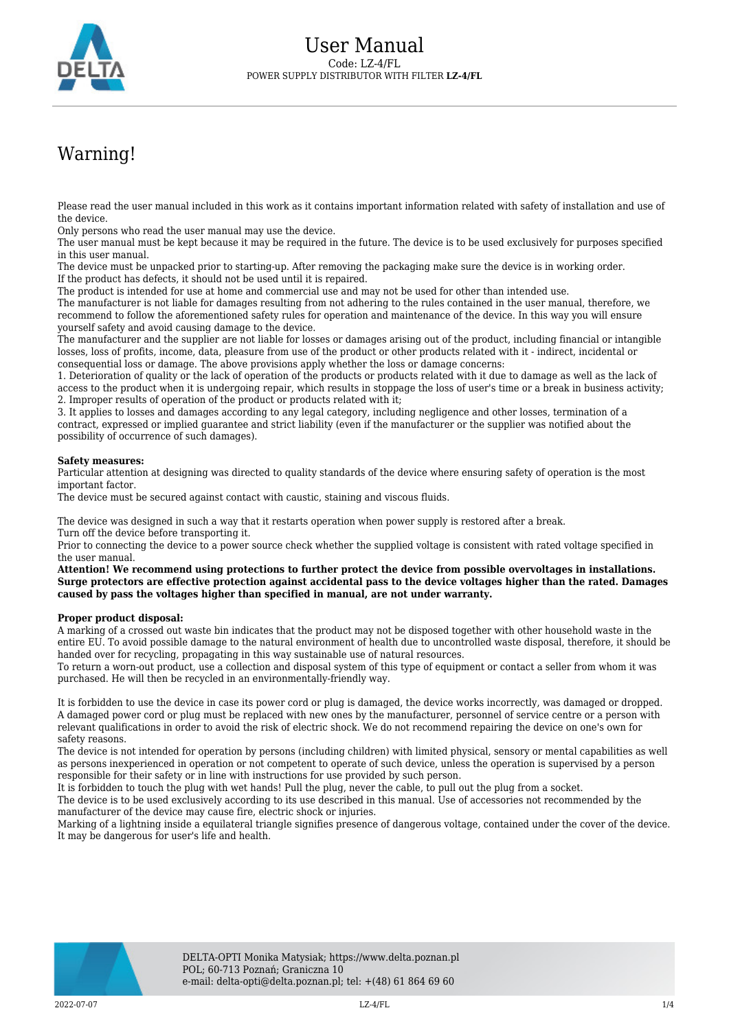

# Warning!

Please read the user manual included in this work as it contains important information related with safety of installation and use of the device.

Only persons who read the user manual may use the device.

The user manual must be kept because it may be required in the future. The device is to be used exclusively for purposes specified in this user manual.

The device must be unpacked prior to starting-up. After removing the packaging make sure the device is in working order. If the product has defects, it should not be used until it is repaired.

The product is intended for use at home and commercial use and may not be used for other than intended use.

The manufacturer is not liable for damages resulting from not adhering to the rules contained in the user manual, therefore, we recommend to follow the aforementioned safety rules for operation and maintenance of the device. In this way you will ensure yourself safety and avoid causing damage to the device.

The manufacturer and the supplier are not liable for losses or damages arising out of the product, including financial or intangible losses, loss of profits, income, data, pleasure from use of the product or other products related with it - indirect, incidental or consequential loss or damage. The above provisions apply whether the loss or damage concerns:

1. Deterioration of quality or the lack of operation of the products or products related with it due to damage as well as the lack of access to the product when it is undergoing repair, which results in stoppage the loss of user's time or a break in business activity; 2. Improper results of operation of the product or products related with it;

3. It applies to losses and damages according to any legal category, including negligence and other losses, termination of a contract, expressed or implied guarantee and strict liability (even if the manufacturer or the supplier was notified about the possibility of occurrence of such damages).

#### **Safety measures:**

Particular attention at designing was directed to quality standards of the device where ensuring safety of operation is the most important factor.

The device must be secured against contact with caustic, staining and viscous fluids.

The device was designed in such a way that it restarts operation when power supply is restored after a break. Turn off the device before transporting it.

Prior to connecting the device to a power source check whether the supplied voltage is consistent with rated voltage specified in the user manual.

**Attention! We recommend using protections to further protect the device from possible overvoltages in installations. Surge protectors are effective protection against accidental pass to the device voltages higher than the rated. Damages caused by pass the voltages higher than specified in manual, are not under warranty.**

#### **Proper product disposal:**

A marking of a crossed out waste bin indicates that the product may not be disposed together with other household waste in the entire EU. To avoid possible damage to the natural environment of health due to uncontrolled waste disposal, therefore, it should be handed over for recycling, propagating in this way sustainable use of natural resources.

To return a worn-out product, use a collection and disposal system of this type of equipment or contact a seller from whom it was purchased. He will then be recycled in an environmentally-friendly way.

It is forbidden to use the device in case its power cord or plug is damaged, the device works incorrectly, was damaged or dropped. A damaged power cord or plug must be replaced with new ones by the manufacturer, personnel of service centre or a person with relevant qualifications in order to avoid the risk of electric shock. We do not recommend repairing the device on one's own for safety reasons.

The device is not intended for operation by persons (including children) with limited physical, sensory or mental capabilities as well as persons inexperienced in operation or not competent to operate of such device, unless the operation is supervised by a person responsible for their safety or in line with instructions for use provided by such person.

It is forbidden to touch the plug with wet hands! Pull the plug, never the cable, to pull out the plug from a socket.

The device is to be used exclusively according to its use described in this manual. Use of accessories not recommended by the manufacturer of the device may cause fire, electric shock or injuries.

Marking of a lightning inside a equilateral triangle signifies presence of dangerous voltage, contained under the cover of the device. It may be dangerous for user's life and health.

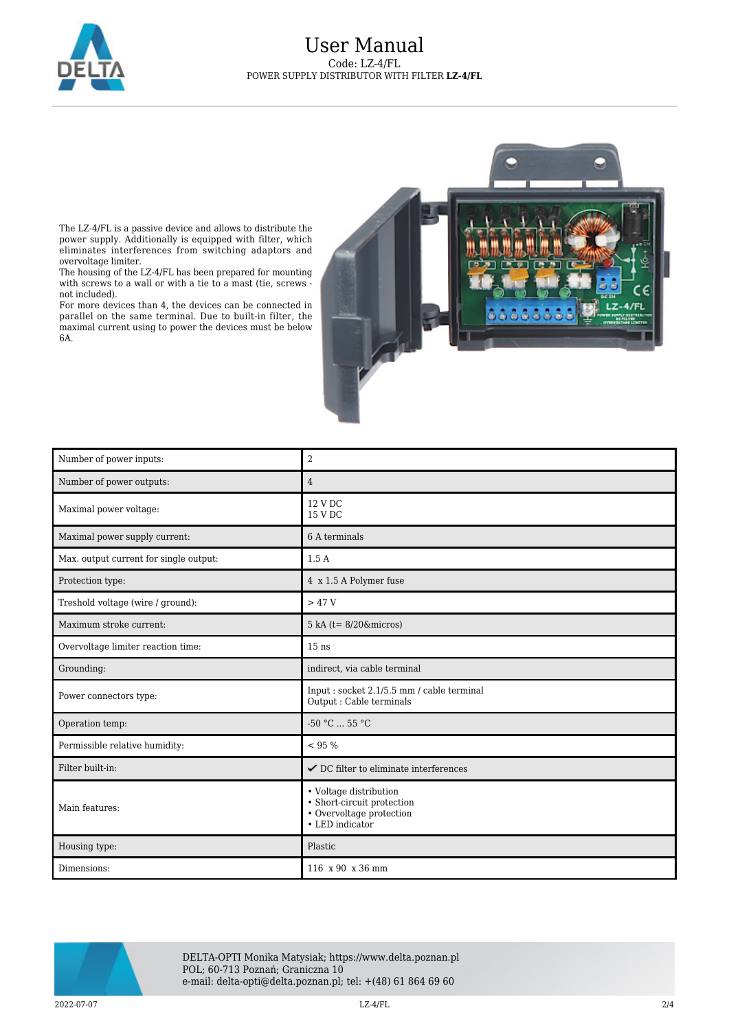

### User Manual Code: LZ-4/FL POWER SUPPLY DISTRIBUTOR WITH FILTER **LZ-4/FL**



The LZ-4/FL is a passive device and allows to distribute the power supply. Additionally is equipped with filter, which eliminates interferences from switching adaptors and overvoltage limiter.

The housing of the LZ-4/FL has been prepared for mounting with screws to a wall or with a tie to a mast (tie, screws not included).

For more devices than 4, the devices can be connected in parallel on the same terminal. Due to built-in filter, the maximal current using to power the devices must be below 6A.

| Number of power inputs:                | $\overline{2}$                                                                                      |
|----------------------------------------|-----------------------------------------------------------------------------------------------------|
| Number of power outputs:               | $\overline{4}$                                                                                      |
| Maximal power voltage:                 | 12 V DC<br>15 V DC                                                                                  |
| Maximal power supply current:          | 6 A terminals                                                                                       |
| Max. output current for single output: | 1.5A                                                                                                |
| Protection type:                       | 4 x 1.5 A Polymer fuse                                                                              |
| Treshold voltage (wire / ground):      | >47V                                                                                                |
| Maximum stroke current:                | $5$ kA (t= $8/20$ &micros)                                                                          |
| Overvoltage limiter reaction time:     | $15$ ns                                                                                             |
| Grounding:                             | indirect, via cable terminal                                                                        |
| Power connectors type:                 | Input: socket 2.1/5.5 mm / cable terminal<br>Output : Cable terminals                               |
| Operation temp:                        | $-50 °C  55 °C$                                                                                     |
| Permissible relative humidity:         | < 95 %                                                                                              |
| Filter built-in:                       | $\checkmark$ DC filter to eliminate interferences                                                   |
| Main features:                         | • Voltage distribution<br>• Short-circuit protection<br>• Overvoltage protection<br>• LED indicator |
| Housing type:                          | Plastic                                                                                             |
| Dimensions:                            | 116 x 90 x 36 mm                                                                                    |



DELTA-OPTI Monika Matysiak; https://www.delta.poznan.pl POL; 60-713 Poznań; Graniczna 10 e-mail: delta-opti@delta.poznan.pl; tel: +(48) 61 864 69 60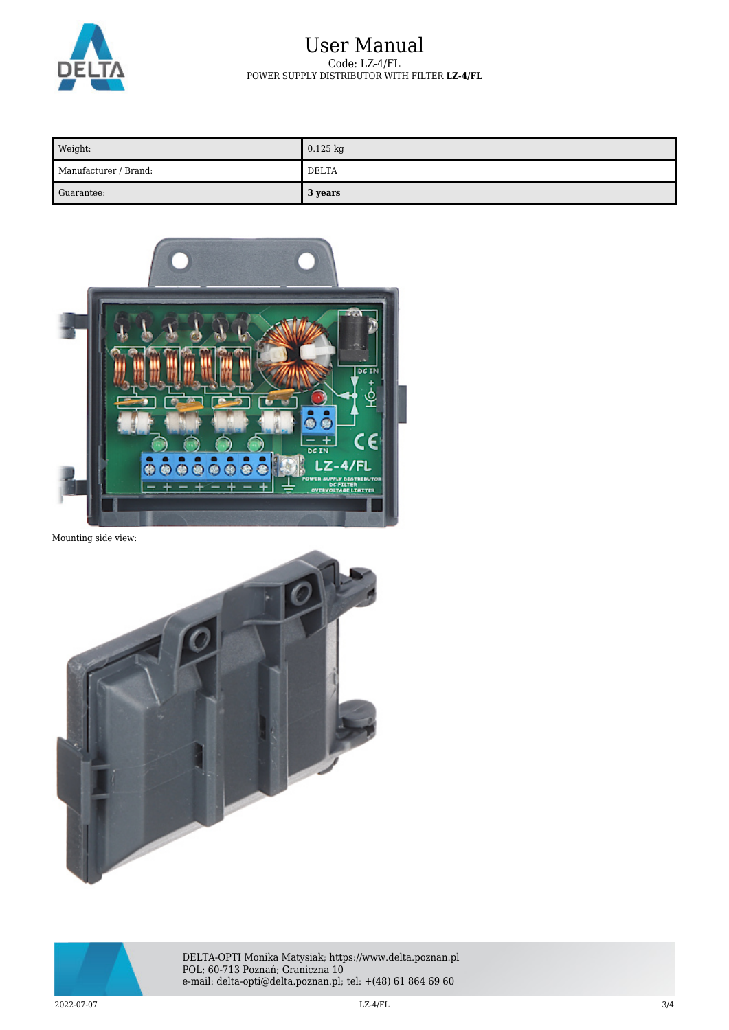

## User Manual Code: LZ-4/FL POWER SUPPLY DISTRIBUTOR WITH FILTER **LZ-4/FL**

| Weight:               | $0.125$ kg |
|-----------------------|------------|
| Manufacturer / Brand: | DELTA      |
| Guarantee:            | 3 years    |



Mounting side view:





DELTA-OPTI Monika Matysiak; https://www.delta.poznan.pl POL; 60-713 Poznań; Graniczna 10 e-mail: delta-opti@delta.poznan.pl; tel: +(48) 61 864 69 60